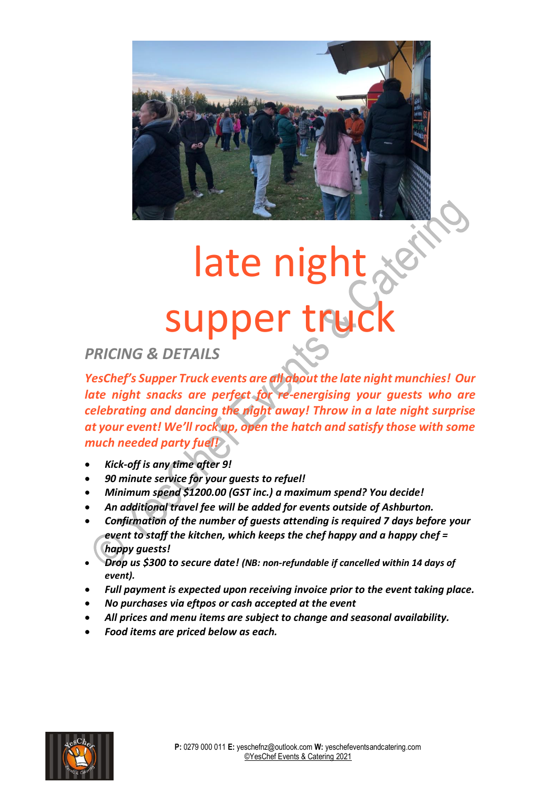

## late night & supper truc

## *PRICING & DETAILS*

*YesChef's Supper Truck events are all about the late night munchies! Our late night snacks are perfect for re-energising your guests who are celebrating and dancing the night away! Throw in a late night surprise at your event! We'll rock up, open the hatch and satisfy those with some much needed party fuel!*

- *Kick-off is any time after 9!*
- *90 minute service for your guests to refuel!*
- *Minimum spend \$1200.00 (GST inc.) a maximum spend? You decide!*
- *An additional travel fee will be added for events outside of Ashburton.*
- *Confirmation of the number of guests attending is required 7 days before your event to staff the kitchen, which keeps the chef happy and a happy chef = happy guests!*
- *Drop us \$300 to secure date! (NB: non-refundable if cancelled within 14 days of event).*
- *Full payment is expected upon receiving invoice prior to the event taking place.*
- *No purchases via eftpos or cash accepted at the event*
- *All prices and menu items are subject to change and seasonal availability.*
- *Food items are priced below as each.*